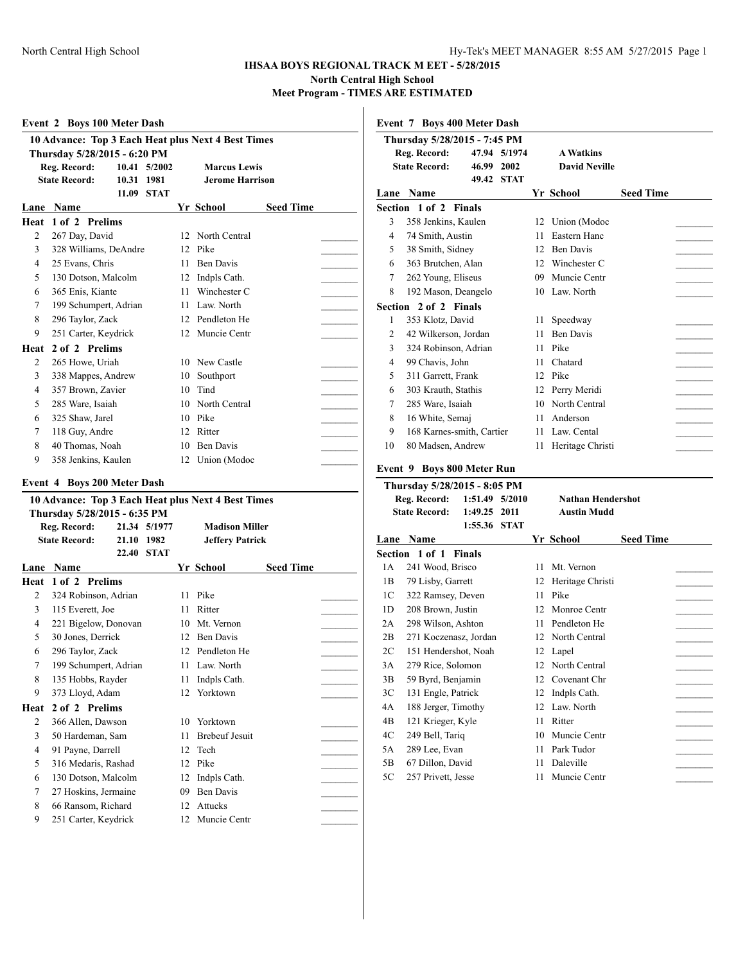|                | <b>Event 2 Boys 100 Meter Dash</b> |       |              |    |                                                    |                  |  |
|----------------|------------------------------------|-------|--------------|----|----------------------------------------------------|------------------|--|
|                |                                    |       |              |    | 10 Advance: Top 3 Each Heat plus Next 4 Best Times |                  |  |
|                | Thursday 5/28/2015 - 6:20 PM       |       |              |    |                                                    |                  |  |
|                | Reg. Record:                       | 10.41 | 5/2002       |    | <b>Marcus Lewis</b>                                |                  |  |
|                | <b>State Record:</b>               | 10.31 | 1981         |    | <b>Jerome Harrison</b>                             |                  |  |
|                |                                    | 11.09 | <b>STAT</b>  |    |                                                    |                  |  |
|                | Lane Name                          |       |              |    | Yr School                                          | <b>Seed Time</b> |  |
|                | Heat 1 of 2 Prelims                |       |              |    |                                                    |                  |  |
| $\overline{c}$ | 267 Day, David                     |       |              |    | 12 North Central                                   |                  |  |
| 3              | 328 Williams, DeAndre              |       |              |    | 12 Pike                                            |                  |  |
| 4              | 25 Evans, Chris                    |       |              |    | 11 Ben Davis                                       |                  |  |
| 5              | 130 Dotson, Malcolm                |       |              |    | 12 Indpls Cath.                                    |                  |  |
| 6              | 365 Enis, Kiante                   |       |              |    | 11 Winchester C                                    |                  |  |
| $\overline{7}$ | 199 Schumpert, Adrian              |       |              |    | 11 Law. North                                      |                  |  |
| 8              | 296 Taylor, Zack                   |       |              |    | 12 Pendleton He                                    |                  |  |
| 9              | 251 Carter, Keydrick               |       |              |    | 12 Muncie Centr                                    |                  |  |
| Heat           | 2 of 2 Prelims                     |       |              |    |                                                    |                  |  |
| 2              | 265 Howe, Uriah                    |       |              |    | 10 New Castle                                      |                  |  |
| 3              | 338 Mappes, Andrew                 |       |              |    | 10 Southport                                       |                  |  |
| $\overline{4}$ | 357 Brown, Zavier                  |       |              |    | 10 Tind                                            |                  |  |
| 5              | 285 Ware, Isaiah                   |       |              |    | 10 North Central                                   |                  |  |
| 6              | 325 Shaw, Jarel                    |       |              |    | 10 Pike                                            |                  |  |
| 7              | 118 Guy, Andre                     |       |              |    | 12 Ritter                                          |                  |  |
| 8              | 40 Thomas, Noah                    |       |              |    | 10 Ben Davis                                       |                  |  |
| 9              | 358 Jenkins, Kaulen                |       |              |    | 12 Union (Modoc                                    |                  |  |
|                | Event 4 Boys 200 Meter Dash        |       |              |    |                                                    |                  |  |
|                |                                    |       |              |    | 10 Advance: Top 3 Each Heat plus Next 4 Best Times |                  |  |
|                | Thursday 5/28/2015 - 6:35 PM       |       |              |    |                                                    |                  |  |
|                | Reg. Record:                       |       | 21.34 5/1977 |    | <b>Madison Miller</b>                              |                  |  |
|                | <b>State Record:</b>               | 21.10 | 1982         |    | <b>Jeffery Patrick</b>                             |                  |  |
|                |                                    |       | 22.40 STAT   |    |                                                    |                  |  |
|                | Lane Name                          |       |              |    | Yr School                                          | <b>Seed Time</b> |  |
|                | Heat 1 of 2 Prelims                |       |              |    |                                                    |                  |  |
| $\overline{c}$ | 324 Robinson, Adrian               |       |              | 11 | Pike                                               |                  |  |
| 3              | 115 Everett, Joe                   |       |              | 11 | Ritter                                             |                  |  |
| 4              | 221 Bigelow, Donovan               |       |              |    | 10 Mt. Vernon                                      |                  |  |
| 5              | 30 Jones, Derrick                  |       |              |    | 12 Ben Davis                                       |                  |  |
| 6              | 296 Taylor, Zack                   |       |              |    | 12 Pendleton He                                    |                  |  |
| $\overline{7}$ | 199 Schumpert, Adrian              |       |              |    | 11 Law. North                                      |                  |  |
| 8              | 135 Hobbs, Rayder                  |       |              | 11 | Indpls Cath.                                       |                  |  |
| 9              | 373 Lloyd, Adam                    |       |              | 12 | Yorktown                                           |                  |  |
| Heat           | 2 of 2 Prelims                     |       |              |    |                                                    |                  |  |

2 366 Allen, Dawson 10 Yorktown 3 50 Hardeman, Sam 11 Brebeuf Jesuit 4 91 Payne, Darrell 12 Tech 5 316 Medaris, Rashad 12 Pike 6 130 Dotson, Malcolm 12 Indpls Cath. 7 27 Hoskins, Jermaine 09 Ben Davis 8 66 Ransom, Richard 12 Attucks 9 251 Carter, Keydrick 12 Muncie Centr

|                | Event 7 Boys 400 Meter Dash                  |         |                |    |                          |                  |  |
|----------------|----------------------------------------------|---------|----------------|----|--------------------------|------------------|--|
|                | Thursday 5/28/2015 - 7:45 PM                 |         |                |    |                          |                  |  |
|                | Reg. Record:                                 |         | 47.94 5/1974   |    | <b>A Watkins</b>         |                  |  |
|                | <b>State Record:</b>                         | 46.99   | 2002           |    | <b>David Neville</b>     |                  |  |
|                |                                              | 49.42   | <b>STAT</b>    |    |                          |                  |  |
|                | Lane Name                                    |         |                |    | Yr School                | <b>Seed Time</b> |  |
|                | Section 1 of 2 Finals                        |         |                |    |                          |                  |  |
| 3              | 358 Jenkins, Kaulen                          |         |                | 12 | Union (Modoc             |                  |  |
| 4              | 74 Smith, Austin                             |         |                | 11 | Eastern Hanc             |                  |  |
| 5              | 38 Smith, Sidney                             |         |                |    | 12 Ben Davis             |                  |  |
| 6              | 363 Brutchen, Alan                           |         |                |    | 12 Winchester C          |                  |  |
| 7              | 262 Young, Eliseus                           |         |                | 09 | Muncie Centr             |                  |  |
| 8              | 192 Mason, Deangelo                          |         |                |    | 10 Law. North            |                  |  |
|                | Section 2 of 2 Finals                        |         |                |    |                          |                  |  |
| 1              | 353 Klotz, David                             |         |                | 11 | Speedway                 |                  |  |
| $\overline{c}$ | 42 Wilkerson, Jordan                         |         |                | 11 | <b>Ben Davis</b>         |                  |  |
| 3              | 324 Robinson, Adrian                         |         |                | 11 | Pike                     |                  |  |
| 4              | 99 Chavis, John                              |         |                | 11 | Chatard                  |                  |  |
| 5              | 311 Garrett, Frank                           |         |                |    | 12 Pike                  |                  |  |
| 6              | 303 Krauth, Stathis                          |         |                |    | 12 Perry Meridi          |                  |  |
| 7              | 285 Ware, Isaiah                             |         |                | 10 | North Central            |                  |  |
| 8              | 16 White, Semaj                              |         |                | 11 | Anderson                 |                  |  |
| 9              | 168 Karnes-smith, Cartier                    |         |                | 11 | Law. Cental              |                  |  |
| 10             | 80 Madsen, Andrew                            |         |                | 11 | Heritage Christi         |                  |  |
|                |                                              |         |                |    |                          |                  |  |
|                | Event 9 Boys 800 Meter Run                   |         |                |    |                          |                  |  |
|                | Thursday 5/28/2015 - 8:05 PM<br>Reg. Record: |         | 1:51.49 5/2010 |    | <b>Nathan Hendershot</b> |                  |  |
|                | <b>State Record:</b>                         | 1:49.25 | 2011           |    | <b>Austin Mudd</b>       |                  |  |
|                |                                              |         | 1:55.36 STAT   |    |                          |                  |  |
|                | Lane Name                                    |         |                |    | Yr School                | <b>Seed Time</b> |  |
|                | Section 1 of 1 Finals                        |         |                |    |                          |                  |  |
| 1A             | 241 Wood, Brisco                             |         |                | 11 | Mt. Vernon               |                  |  |
| 1B             | 79 Lisby, Garrett                            |         |                | 12 | Heritage Christi         |                  |  |
| 1C             | 322 Ramsey, Deven                            |         |                | 11 | Pike                     |                  |  |
| 1 <sub>D</sub> | 208 Brown, Justin                            |         |                |    | 12 Monroe Centr          |                  |  |
| 2A             | 298 Wilson, Ashton                           |         |                | 11 | Pendleton He             |                  |  |
| 2B             | 271 Koczenasz, Jordan                        |         |                |    | 12 North Central         |                  |  |
| 2C             | 151 Hendershot, Noah                         |         |                | 12 | Lapel                    |                  |  |
| 3A             | 279 Rice, Solomon                            |         |                | 12 | North Central            |                  |  |
| 3B             | 59 Byrd, Benjamin                            |         |                | 12 | Covenant Chr             |                  |  |
| 3 <sup>C</sup> | 131 Engle, Patrick                           |         |                |    | 12 Indpls Cath.          |                  |  |
| 4A             | 188 Jerger, Timothy                          |         |                | 12 | Law. North               |                  |  |
| 4B             | 121 Krieger, Kyle                            |         |                | 11 | Ritter                   |                  |  |
|                |                                              |         |                |    |                          |                  |  |

4C 249 Bell, Tariq 10 Muncie Centr 5A 289 Lee, Evan 11 Park Tudor 5B 67 Dillon, David 11 Daleville 5C 257 Privett, Jesse 11 Muncie Centr \_\_\_\_\_\_\_\_\_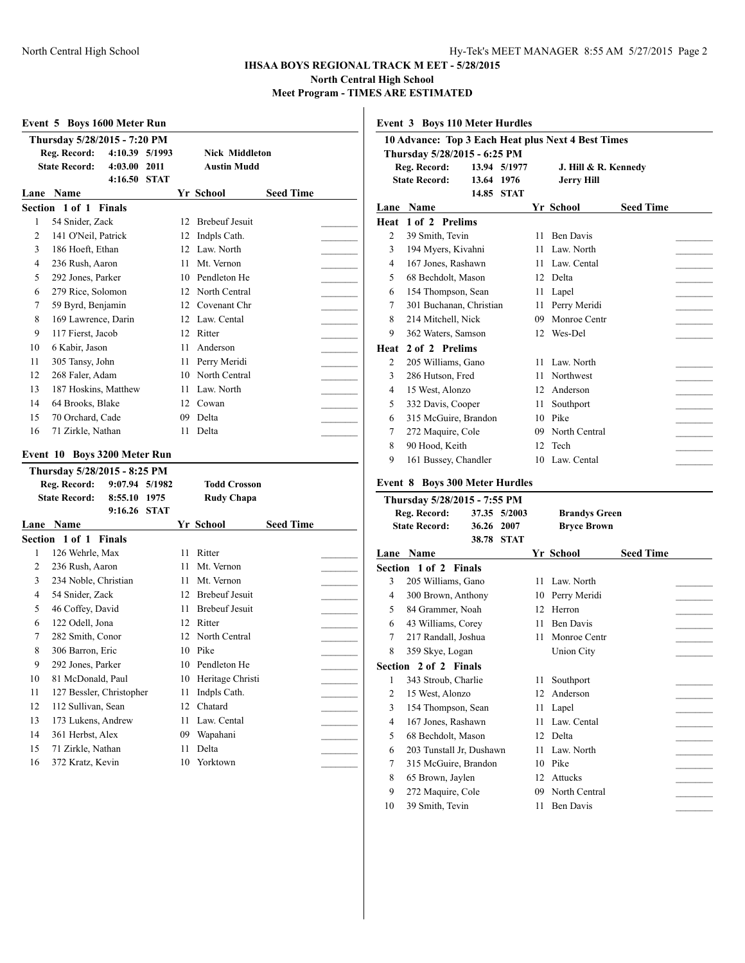|    | Event 5 Boys 1600 Meter Run           |                |             |    |                       |                  |  |
|----|---------------------------------------|----------------|-------------|----|-----------------------|------------------|--|
|    | Thursday 5/28/2015 - 7:20 PM          |                |             |    |                       |                  |  |
|    | Reg. Record:                          | 4:10.39 5/1993 |             |    | <b>Nick Middleton</b> |                  |  |
|    | <b>State Record:</b>                  | 4:03.00        | 2011        |    | <b>Austin Mudd</b>    |                  |  |
|    |                                       | 4:16.50        | <b>STAT</b> |    |                       |                  |  |
|    | Lane Name                             |                |             |    | Yr School             | <b>Seed Time</b> |  |
|    | Section 1 of 1 Finals                 |                |             |    |                       |                  |  |
| 1  | 54 Snider, Zack                       |                |             | 12 | <b>Brebeuf Jesuit</b> |                  |  |
| 2  | 141 O'Neil, Patrick                   |                |             | 12 | Indpls Cath.          |                  |  |
| 3  | 186 Hoeft. Ethan                      |                |             |    | 12 Law North          |                  |  |
| 4  | 236 Rush, Aaron                       |                |             | 11 | Mt. Vernon            |                  |  |
| 5  | 292 Jones, Parker                     |                |             |    | 10 Pendleton He       |                  |  |
| 6  | 279 Rice, Solomon                     |                |             |    | 12 North Central      |                  |  |
| 7  | 59 Byrd, Benjamin                     |                |             |    | 12 Covenant Chr       |                  |  |
| 8  | 169 Lawrence, Darin                   |                |             |    | 12 Law. Cental        |                  |  |
| 9  | 117 Fierst, Jacob                     |                |             |    | 12 Ritter             |                  |  |
| 10 | 6 Kabir, Jason                        |                |             | 11 | Anderson              |                  |  |
| 11 | 305 Tansy, John                       |                |             |    | 11 Perry Meridi       |                  |  |
| 12 | 268 Faler, Adam                       |                |             |    | 10 North Central      |                  |  |
| 13 | 187 Hoskins, Matthew                  |                |             | 11 | Law. North            |                  |  |
| 14 | 64 Brooks, Blake                      |                |             |    | 12 Cowan              |                  |  |
| 15 | 70 Orchard, Cade                      |                |             | 09 | Delta                 |                  |  |
| 16 | 71 Zirkle, Nathan                     |                |             | 11 | Delta                 |                  |  |
|    |                                       |                |             |    |                       |                  |  |
|    |                                       |                |             |    |                       |                  |  |
|    | Event 10 Boys 3200 Meter Run          |                |             |    |                       |                  |  |
|    | Thursday 5/28/2015 - 8:25 PM          |                |             |    |                       |                  |  |
|    | Reg. Record:                          | 9:07.94 5/1982 |             |    | <b>Todd Crosson</b>   |                  |  |
|    | <b>State Record:</b>                  | 8:55.10 1975   |             |    | <b>Rudy Chapa</b>     |                  |  |
|    |                                       | 9:16.26 STAT   |             |    |                       |                  |  |
|    | Lane Name                             |                |             |    | Yr School             | <b>Seed Time</b> |  |
|    | Section 1 of 1 Finals                 |                |             |    |                       |                  |  |
| 1  | 126 Wehrle, Max                       |                |             | 11 | Ritter                |                  |  |
| 2  | 236 Rush, Aaron                       |                |             | 11 | Mt. Vernon            |                  |  |
| 3  | 234 Noble, Christian                  |                |             | 11 | Mt. Vernon            |                  |  |
| 4  | 54 Snider, Zack                       |                |             |    | 12 Brebeuf Jesuit     |                  |  |
| 5  | 46 Coffey, David                      |                |             | 11 | <b>Brebeuf Jesuit</b> |                  |  |
| 6  | 122 Odell, Jona                       |                |             | 12 | Ritter                |                  |  |
| 7  | 282 Smith, Conor                      |                |             | 12 | North Central         |                  |  |
| 8  | 306 Barron, Eric                      |                |             | 10 | Pike                  |                  |  |
| 9  | 292 Jones, Parker                     |                |             | 10 | Pendleton He          |                  |  |
| 10 | 81 McDonald, Paul                     |                |             | 10 | Heritage Christi      |                  |  |
| 11 | 127 Bessler, Christopher              |                |             | 11 | Indpls Cath.          |                  |  |
| 12 | 112 Sullivan, Sean                    |                |             | 12 | Chatard               |                  |  |
| 13 | 173 Lukens, Andrew                    |                |             | 11 | Law. Cental           |                  |  |
| 14 | 361 Herbst, Alex                      |                |             | 09 | Wapahani              |                  |  |
| 15 | 71 Zirkle, Nathan<br>372 Kratz, Kevin |                |             | 11 | Delta                 |                  |  |

|                | <b>Event 3 Boys 110 Meter Hurdles</b>                                 |            |              |          |                                                    |                  |  |
|----------------|-----------------------------------------------------------------------|------------|--------------|----------|----------------------------------------------------|------------------|--|
|                |                                                                       |            |              |          | 10 Advance: Top 3 Each Heat plus Next 4 Best Times |                  |  |
|                | Thursday 5/28/2015 - 6:25 PM                                          |            |              |          |                                                    |                  |  |
|                | Reg. Record:                                                          |            | 13.94 5/1977 |          | J. Hill & R. Kennedy                               |                  |  |
|                | <b>State Record:</b>                                                  | 13.64 1976 |              |          | <b>Jerry Hill</b>                                  |                  |  |
|                |                                                                       |            | 14.85 STAT   |          |                                                    |                  |  |
| Lane           | Name                                                                  |            |              |          | Yr School                                          | <b>Seed Time</b> |  |
| Heat           | 1 of 2 Prelims                                                        |            |              |          |                                                    |                  |  |
| 2              | 39 Smith, Tevin                                                       |            |              | 11       | <b>Ben Davis</b>                                   |                  |  |
| 3              | 194 Myers, Kivahni                                                    |            |              | 11       | Law. North                                         |                  |  |
| 4              | 167 Jones, Rashawn                                                    |            |              | 11       | Law. Cental                                        |                  |  |
| 5              | 68 Bechdolt, Mason                                                    |            |              |          | 12 Delta                                           |                  |  |
| 6              | 154 Thompson, Sean                                                    |            |              | 11       | Lapel                                              |                  |  |
| 7              | 301 Buchanan, Christian                                               |            |              |          | 11 Perry Meridi                                    |                  |  |
| 8              | 214 Mitchell, Nick                                                    |            |              | 09       | Monroe Centr                                       |                  |  |
| 9              | 362 Waters, Samson                                                    |            |              | 12       | Wes-Del                                            |                  |  |
| Heat           | 2 of 2 Prelims                                                        |            |              |          |                                                    |                  |  |
| 2              | 205 Williams, Gano                                                    |            |              | 11       | Law. North                                         |                  |  |
| 3              | 286 Hutson, Fred                                                      |            |              | 11       | Northwest                                          |                  |  |
| 4              | 15 West, Alonzo                                                       |            |              |          | 12 Anderson                                        |                  |  |
| 5              | 332 Davis, Cooper                                                     |            |              | 11       | Southport                                          |                  |  |
| 6              | 315 McGuire, Brandon                                                  |            |              |          | 10 Pike                                            |                  |  |
| 7              | 272 Maquire, Cole                                                     |            |              |          | 09 North Central                                   |                  |  |
| 8              | 90 Hood, Keith                                                        |            |              | 12       | Tech                                               |                  |  |
| 9              | 161 Bussey, Chandler                                                  |            |              | 10       | Law. Cental                                        |                  |  |
|                |                                                                       |            |              |          |                                                    |                  |  |
|                | <b>Event 8 Boys 300 Meter Hurdles</b><br>Thursday 5/28/2015 - 7:55 PM |            |              |          |                                                    |                  |  |
|                | Reg. Record:                                                          |            | 37.35 5/2003 |          | <b>Brandys Green</b>                               |                  |  |
|                | <b>State Record:</b>                                                  | 36.26 2007 |              |          | <b>Bryce Brown</b>                                 |                  |  |
|                |                                                                       |            | 38.78 STAT   |          |                                                    |                  |  |
|                | Lane Name                                                             |            |              |          | Yr School                                          | <b>Seed Time</b> |  |
|                | Section 1 of 2 Finals                                                 |            |              |          |                                                    |                  |  |
| 3              | 205 Williams, Gano                                                    |            |              | 11       | Law. North                                         |                  |  |
| 4              | 300 Brown, Anthony                                                    |            |              |          | 10 Perry Meridi                                    |                  |  |
| 5              | 84 Grammer, Noah                                                      |            |              | 12       | Herron                                             |                  |  |
| 6              | 43 Williams, Corey                                                    |            |              | 11       | <b>Ben Davis</b>                                   |                  |  |
| 7              | 217 Randall, Joshua                                                   |            |              | 11       | Monroe Centr                                       |                  |  |
| 8              | 359 Skye, Logan                                                       |            |              |          | <b>Union City</b>                                  |                  |  |
|                | Section 2 of 2 Finals                                                 |            |              |          |                                                    |                  |  |
| 1              | 343 Stroub, Charlie                                                   |            |              | 11       | Southport                                          |                  |  |
| $\overline{c}$ | 15 West, Alonzo                                                       |            |              | 12       | Anderson                                           |                  |  |
| 3              | 154 Thompson, Sean                                                    |            |              |          |                                                    |                  |  |
| 4              |                                                                       |            |              |          |                                                    |                  |  |
|                |                                                                       |            |              | 11       | Lapel                                              |                  |  |
|                | 167 Jones, Rashawn                                                    |            |              | 11       | Law. Cental                                        |                  |  |
| 5              | 68 Bechdolt, Mason                                                    |            |              | 12       | Delta                                              |                  |  |
| 6              | 203 Tunstall Jr, Dushawn                                              |            |              | 11       | Law. North                                         |                  |  |
| 7              | 315 McGuire, Brandon                                                  |            |              | 10       | Pike                                               |                  |  |
| 8              | 65 Brown, Jaylen                                                      |            |              | 12       | Attucks                                            |                  |  |
| 9<br>10        | 272 Maquire, Cole<br>39 Smith, Tevin                                  |            |              | 09<br>11 | North Central<br><b>Ben Davis</b>                  |                  |  |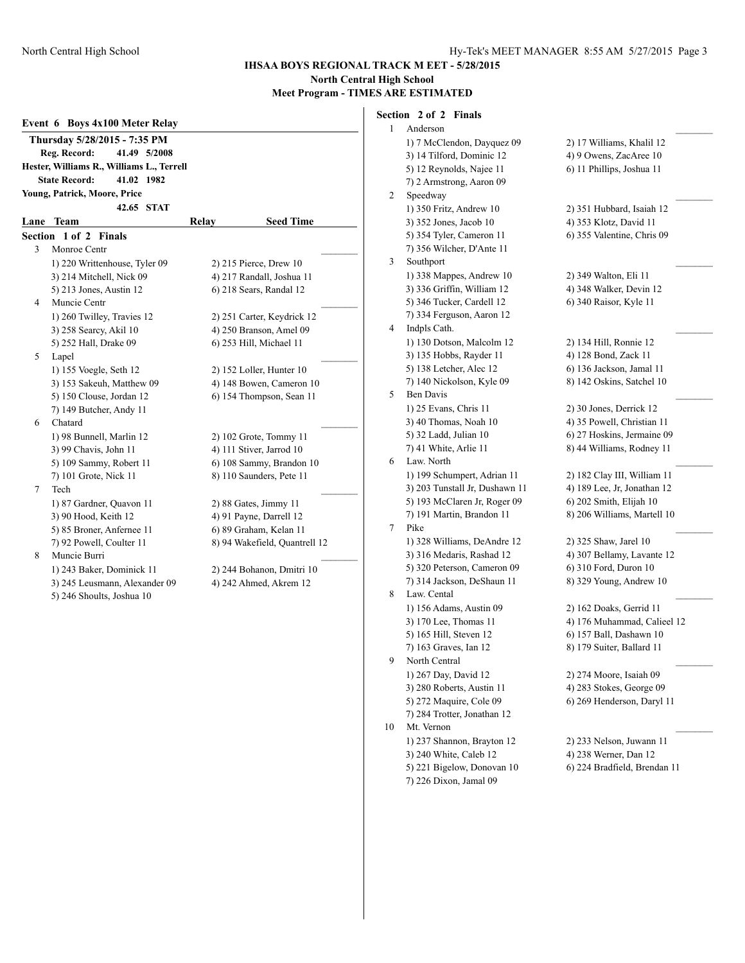### **Event 6 Boys 4x100 Meter Relay Thursday 5/28/2015 - 7:35 PM Reg. Record: 41.49 5/2008 Hester, Williams R., Williams L., Terrell State Record: 41.02 1982 Young, Patrick, Moore, Price 42.65 STAT Lane Team Relay Seed Time Section 1 of 2 Finals** 3 Monroe Centr \_\_\_\_\_\_\_\_\_ 1) 220 Writtenhouse, Tyler 09 2) 215 Pierce, Drew 10 3) 214 Mitchell, Nick 09 4) 217 Randall, Joshua 11 5) 213 Jones, Austin 12 6) 218 Sears, Randal 12 4 Muncie Centr 1) 260 Twilley, Travies 12 2) 251 Carter, Keydrick 12 3) 258 Searcy, Akil 10 4) 250 Branson, Amel 09 5) 252 Hall, Drake 09 6) 253 Hill, Michael 11 5 Lapel 1) 155 Voegle, Seth 12 2) 152 Loller, Hunter 10 3) 153 Sakeuh, Matthew 09 4) 148 Bowen, Cameron 10 5) 150 Clouse, Jordan 12 6) 154 Thompson, Sean 11 7) 149 Butcher, Andy 11  $6$  Chatard  $\qquad \qquad$ 1) 98 Bunnell, Marlin 12 2) 102 Grote, Tommy 11 3) 99 Chavis, John 11 4) 111 Stiver, Jarrod 10 5) 109 Sammy, Robert 11 6) 108 Sammy, Brandon 10 7) 101 Grote, Nick 11 8) 110 Saunders, Pete 11 7 Tech \_\_\_\_\_\_\_\_\_ 1) 87 Gardner, Quavon 11 2) 88 Gates, Jimmy 11 3) 90 Hood, Keith 12 4) 91 Payne, Darrell 12 5) 85 Broner, Anfernee 11 6) 89 Graham, Kelan 11 7) 92 Powell, Coulter 11 8) 94 Wakefield, Quantrell 12 Muncie Burri 1) 243 Baker, Dominick 11 2) 244 Bohanon, Dmitri 10 3) 245 Leusmann, Alexander 09 4) 242 Ahmed, Akrem 12 5) 246 Shoults, Joshua 10

**Section 2 of 2 Finals** 1 Anderson 1) 7 McClendon, Dayquez 09 2) 17 Williams, Khalil 12 3) 14 Tilford, Dominic 12 4) 9 Owens, ZacAree 10 5) 12 Reynolds, Najee 11 6) 11 Phillips, Joshua 11 7) 2 Armstrong, Aaron 09 2 Speedway 1) 350 Fritz, Andrew 10 2) 351 Hubbard, Isaiah 12 3) 352 Jones, Jacob 10 4) 353 Klotz, David 11 5) 354 Tyler, Cameron 11 6) 355 Valentine, Chris 09 7) 356 Wilcher, D'Ante 11 3 Southport 1) 338 Mappes, Andrew 10 2) 349 Walton, Eli 11 3) 336 Griffin, William 12 4) 348 Walker, Devin 12 5) 346 Tucker, Cardell 12 6) 340 Raisor, Kyle 11 7) 334 Ferguson, Aaron 12 4 Indpls Cath. 1) 130 Dotson, Malcolm 12 2) 134 Hill, Ronnie 12 3) 135 Hobbs, Rayder 11 4) 128 Bond, Zack 11 5) 138 Letcher, Alec 12 6) 136 Jackson, Jamal 11 7) 140 Nickolson, Kyle 09 8) 142 Oskins, Satchel 10 5 Ben Davis 1) 25 Evans, Chris 11 2) 30 Jones, Derrick 12 3) 40 Thomas, Noah 10 4) 35 Powell, Christian 11 5) 32 Ladd, Julian 10 6) 27 Hoskins, Jermaine 09 7) 41 White, Arlie 11 8) 44 Williams, Rodney 11 6 Law. North \_\_\_\_\_\_\_\_\_ 1) 199 Schumpert, Adrian 11 2) 182 Clay III, William 11 3) 203 Tunstall Jr, Dushawn 11 4) 189 Lee, Jr, Jonathan 12 5) 193 McClaren Jr, Roger 09 6) 202 Smith, Elijah 10 7) 191 Martin, Brandon 11 8) 206 Williams, Martell 10 7 Pike  $\overline{a}$ 1) 328 Williams, DeAndre 12 2) 325 Shaw, Jarel 10 3) 316 Medaris, Rashad 12 4) 307 Bellamy, Lavante 12 5) 320 Peterson, Cameron 09 6) 310 Ford, Duron 10 7) 314 Jackson, DeShaun 11 8) 329 Young, Andrew 10 8 Law. Cental 1) 156 Adams, Austin 09 2) 162 Doaks, Gerrid 11 3) 170 Lee, Thomas 11 4) 176 Muhammad, Calieel 12 5) 165 Hill, Steven 12 6) 157 Ball, Dashawn 10 7) 163 Graves, Ian 12 8) 179 Suiter, Ballard 11 9 North Central 1) 267 Day, David 12 2) 274 Moore, Isaiah 09 3) 280 Roberts, Austin 11 4) 283 Stokes, George 09 5) 272 Maquire, Cole 09 6) 269 Henderson, Daryl 11 7) 284 Trotter, Jonathan 12 10 Mt. Vernon 1) 237 Shannon, Brayton 12 2) 233 Nelson, Juwann 11 3) 240 White, Caleb 12 4) 238 Werner, Dan 12 5) 221 Bigelow, Donovan 10 6) 224 Bradfield, Brendan 11 7) 226 Dixon, Jamal 09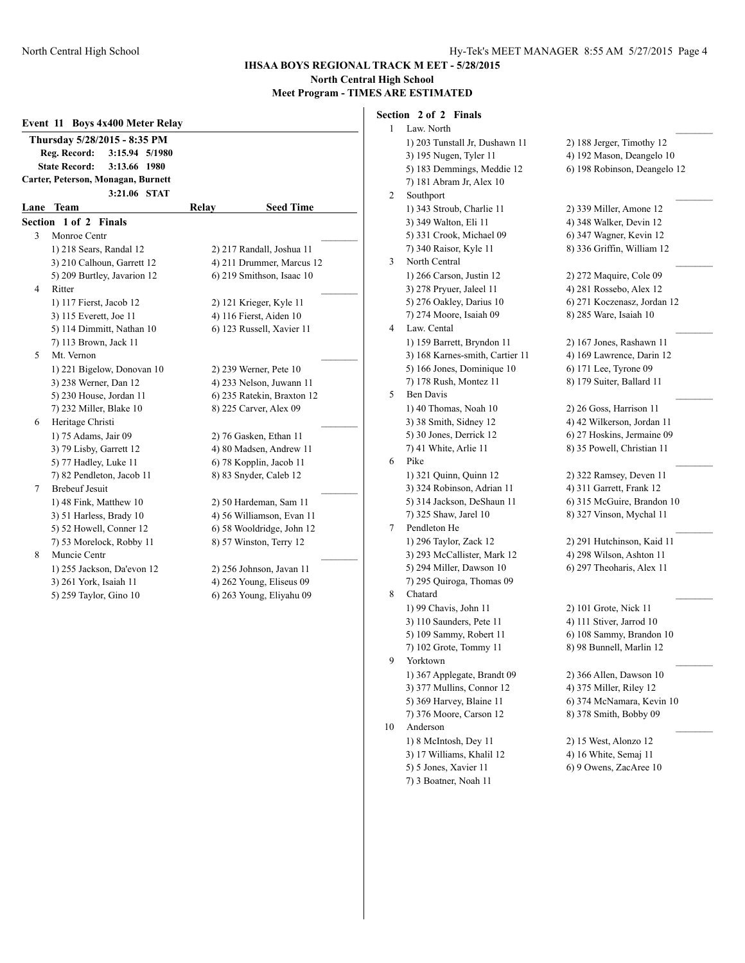|         | Event 11 Boys 4x400 Meter Relay                                                                                                              |                                                   |
|---------|----------------------------------------------------------------------------------------------------------------------------------------------|---------------------------------------------------|
|         | Thursday 5/28/2015 - 8:35 PM<br>Reg. Record:<br>3:15.94 5/1980<br><b>State Record:</b><br>3:13.66 1980<br>Carter, Peterson, Monagan, Burnett |                                                   |
|         | 3:21.06 STAT                                                                                                                                 |                                                   |
| Lane    | Team                                                                                                                                         | <b>Seed Time</b><br>Relay                         |
| Section | 1 of 2 Finals                                                                                                                                |                                                   |
| 3       | Monroe Centr                                                                                                                                 |                                                   |
|         | 1) 218 Sears, Randal 12                                                                                                                      | 2) 217 Randall, Joshua 11                         |
|         | 3) 210 Calhoun, Garrett 12                                                                                                                   | 4) 211 Drummer, Marcus 12                         |
|         | 5) 209 Burtley, Javarion 12                                                                                                                  | 6) 219 Smithson, Isaac 10                         |
| 4       | Ritter                                                                                                                                       |                                                   |
|         | 1) 117 Fierst, Jacob 12                                                                                                                      | 2) 121 Krieger, Kyle 11                           |
|         | 3) 115 Everett, Joe 11                                                                                                                       | 4) 116 Fierst, Aiden 10                           |
|         | 5) 114 Dimmitt, Nathan 10                                                                                                                    | 6) 123 Russell, Xavier 11                         |
|         | 7) 113 Brown, Jack 11                                                                                                                        |                                                   |
| 5       | Mt. Vernon                                                                                                                                   |                                                   |
|         | 1) 221 Bigelow, Donovan 10                                                                                                                   | 2) 239 Werner, Pete 10                            |
|         | 3) 238 Werner, Dan 12                                                                                                                        | 4) 233 Nelson, Juwann 11                          |
|         | 5) 230 House, Jordan 11                                                                                                                      | 6) 235 Ratekin, Braxton 12                        |
|         | 7) 232 Miller, Blake 10                                                                                                                      | 8) 225 Carver, Alex 09                            |
| 6       | Heritage Christi<br>1) 75 Adams, Jair 09                                                                                                     |                                                   |
|         | 3) 79 Lisby, Garrett 12                                                                                                                      | 2) 76 Gasken, Ethan 11<br>4) 80 Madsen, Andrew 11 |
|         | 5) 77 Hadley, Luke 11                                                                                                                        | 6) 78 Kopplin, Jacob 11                           |
|         | 7) 82 Pendleton, Jacob 11                                                                                                                    | 8) 83 Snyder, Caleb 12                            |
| 7       | <b>Brebeuf Jesuit</b>                                                                                                                        |                                                   |
|         | 1) 48 Fink, Matthew 10                                                                                                                       | 2) 50 Hardeman, Sam 11                            |
|         | 3) 51 Harless, Brady 10                                                                                                                      | 4) 56 Williamson, Evan 11                         |
|         | 5) 52 Howell, Conner 12                                                                                                                      | 6) 58 Wooldridge, John 12                         |
|         | 7) 53 Morelock, Robby 11                                                                                                                     | 8) 57 Winston, Terry 12                           |
| 8       | Muncie Centr                                                                                                                                 |                                                   |
|         | 1) 255 Jackson, Da'evon 12                                                                                                                   | 2) 256 Johnson, Javan 11                          |
|         | 3) 261 York, Isaiah 11                                                                                                                       | 4) 262 Young, Eliseus 09                          |
|         | 5) 259 Taylor, Gino 10                                                                                                                       | 6) 263 Young, Eliyahu 09                          |
|         |                                                                                                                                              |                                                   |

**Section 2 of 2 Finals** 1 Law. North 1) 203 Tunstall Jr, Dushawn 11 2) 188 Jerger, Timothy 12 3) 195 Nugen, Tyler 11 4) 192 Mason, Deangelo 10 5) 183 Demmings, Meddie 12 6) 198 Robinson, Deangelo 12 7) 181 Abram Jr, Alex 10 2 Southport 1) 343 Stroub, Charlie 11 2) 339 Miller, Amone 12 3) 349 Walton, Eli 11 4) 348 Walker, Devin 12 5) 331 Crook, Michael 09 6) 347 Wagner, Kevin 12 7) 340 Raisor, Kyle 11 8) 336 Griffin, William 12 3 North Central 1) 266 Carson, Justin 12 2) 272 Maquire, Cole 09 3) 278 Pryuer, Jaleel 11 4) 281 Rossebo, Alex 12 5) 276 Oakley, Darius 10 6) 271 Koczenasz, Jordan 12 7) 274 Moore, Isaiah 09 8) 285 Ware, Isaiah 10 4 Law. Cental \_\_\_\_\_\_\_\_\_ 1) 159 Barrett, Bryndon 11 2) 167 Jones, Rashawn 11 3) 168 Karnes-smith, Cartier 11 4) 169 Lawrence, Darin 12 5) 166 Jones, Dominique 10 6) 171 Lee, Tyrone 09 7) 178 Rush, Montez 11 8) 179 Suiter, Ballard 11 5 Ben Davis 1) 40 Thomas, Noah 10 2) 26 Goss, Harrison 11 3) 38 Smith, Sidney 12 4) 42 Wilkerson, Jordan 11 5) 30 Jones, Derrick 12 6) 27 Hoskins, Jermaine 09 7) 41 White, Arlie 11 8) 35 Powell, Christian 11  $6$  Pike  $\blacksquare$ 1) 321 Quinn, Quinn 12 2) 322 Ramsey, Deven 11 3) 324 Robinson, Adrian 11 4) 311 Garrett, Frank 12 5) 314 Jackson, DeShaun 11 6) 315 McGuire, Brandon 10 7) 325 Shaw, Jarel 10 8) 327 Vinson, Mychal 11 7 Pendleton He 1) 296 Taylor, Zack 12 2) 291 Hutchinson, Kaid 11 3) 293 McCallister, Mark 12 4) 298 Wilson, Ashton 11 5) 294 Miller, Dawson 10 6) 297 Theoharis, Alex 11 7) 295 Quiroga, Thomas 09 8 Chatard 1) 99 Chavis, John 11 2) 101 Grote, Nick 11 3) 110 Saunders, Pete 11 4) 111 Stiver, Jarrod 10 5) 109 Sammy, Robert 11 6) 108 Sammy, Brandon 10 7) 102 Grote, Tommy 11 8) 98 Bunnell, Marlin 12 9 Yorktown \_\_\_\_\_\_\_\_\_ 1) 367 Applegate, Brandt 09 2) 366 Allen, Dawson 10 3) 377 Mullins, Connor 12 4) 375 Miller, Riley 12 5) 369 Harvey, Blaine 11 6) 374 McNamara, Kevin 10 7) 376 Moore, Carson 12 8) 378 Smith, Bobby 09 10 Anderson \_\_\_\_\_\_\_\_\_ 1) 8 McIntosh, Dey 11 2) 15 West, Alonzo 12 3) 17 Williams, Khalil 12 4) 16 White, Semaj 11 5) 5 Jones, Xavier 11 6) 9 Owens, ZacAree 10 7) 3 Boatner, Noah 11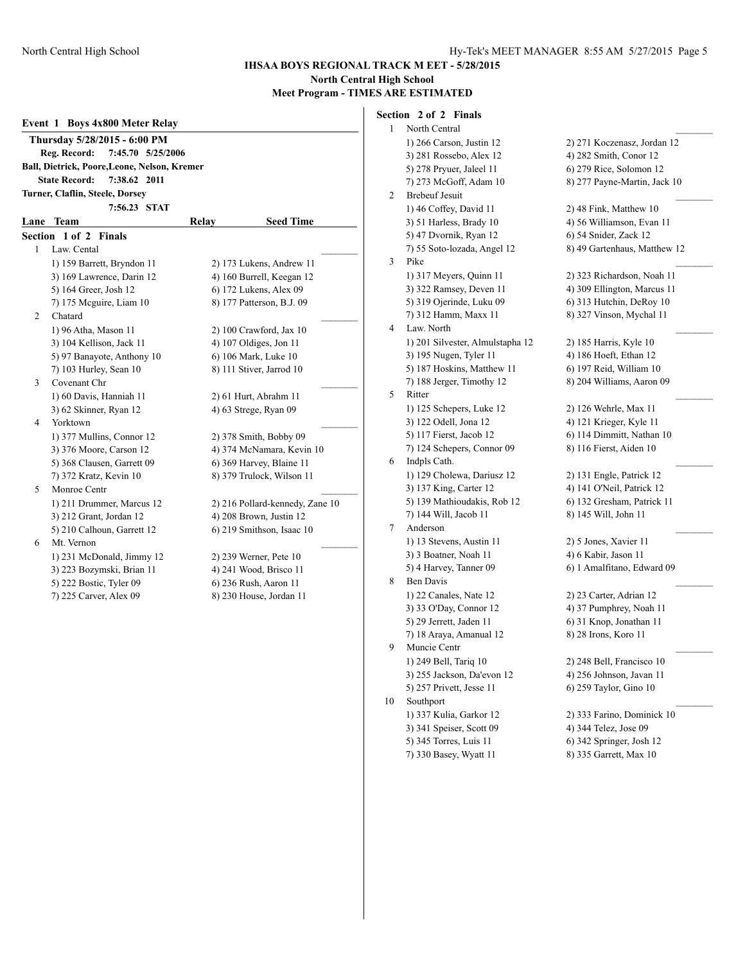### **Event 1 Boys 4x800 Meter Relay Thursday 5/28/2015 - 6:00 PM Reg. Record: 7:45.70 5/25/2006 Ball, Dietrick, Poore,Leone, Nelson, Kremer State Record: 7:38.62 2011 Turner, Claflin, Steele, Dorsey 7:56.23 STAT Lane Team Relay Seed Time Section 1 of 2 Finals** 1 Law. Cental 1) 159 Barrett, Bryndon 11 2) 173 Lukens, Andrew 11 3) 169 Lawrence, Darin 12 4) 160 Burrell, Keegan 12 5) 164 Greer, Josh 12 6) 172 Lukens, Alex 09 7) 175 Mcguire, Liam 10 8) 177 Patterson, B.J. 09 2 Chatard 1) 96 Atha, Mason 11 2) 100 Crawford, Jax 10 3) 104 Kellison, Jack 11 4) 107 Oldiges, Jon 11 5) 97 Banayote, Anthony 10 6) 106 Mark, Luke 10 7) 103 Hurley, Sean 10 8) 111 Stiver, Jarrod 10 3 Covenant Chr 1) 60 Davis, Hanniah 11 2) 61 Hurt, Abrahm 11 3) 62 Skinner, Ryan 12 4) 63 Strege, Ryan 09 4 Yorktown 1) 377 Mullins, Connor 12 2) 378 Smith, Bobby 09 3) 376 Moore, Carson 12 4) 374 McNamara, Kevin 10 5) 368 Clausen, Garrett 09 6) 369 Harvey, Blaine 11 7) 372 Kratz, Kevin 10 8) 379 Trulock, Wilson 11 5 Monroe Centr 1) 211 Drummer, Marcus 12 2) 216 Pollard-kennedy, Zane 10 3) 212 Grant, Jordan 12 4) 208 Brown, Justin 12 5) 210 Calhoun, Garrett 12 6) 219 Smithson, Isaac 10 6 Mt. Vernon \_\_\_\_\_\_\_\_\_ 1) 231 McDonald, Jimmy 12 2) 239 Werner, Pete 10 3) 223 Bozymski, Brian 11 4) 241 Wood, Brisco 11 5) 222 Bostic, Tyler 09 6) 236 Rush, Aaron 11 7) 225 Carver, Alex 09 8) 230 House, Jordan 11

**Section 2 of 2 Finals** 1 North Central 1) 266 Carson, Justin 12 2) 271 Koczenasz, Jordan 12 3) 281 Rossebo, Alex 12 4) 282 Smith, Conor 12 5) 278 Pryuer, Jaleel 11 6) 279 Rice, Solomon 12 7) 273 McGoff, Adam 10 8) 277 Payne-Martin, Jack 10 2 Brebeuf Jesuit 1) 46 Coffey, David 11 2) 48 Fink, Matthew 10 3) 51 Harless, Brady 10 4) 56 Williamson, Evan 11 5) 47 Dvornik, Ryan 12 6) 54 Snider, Zack 12 7) 55 Soto-lozada, Angel 12 8) 49 Gartenhaus, Matthew 12 3 Pike \_\_\_\_\_\_\_\_\_ 1) 317 Meyers, Quinn 11 2) 323 Richardson, Noah 11 3) 322 Ramsey, Deven 11 4) 309 Ellington, Marcus 11 5) 319 Ojerinde, Luku 09 6) 313 Hutchin, DeRoy 10 7) 312 Hamm, Maxx 11 8) 327 Vinson, Mychal 11 4 Law. North 1) 201 Silvester, Almulstapha 12 2) 185 Harris, Kyle 10 3) 195 Nugen, Tyler 11 4) 186 Hoeft, Ethan 12 5) 187 Hoskins, Matthew 11 6) 197 Reid, William 10 7) 188 Jerger, Timothy 12 8) 204 Williams, Aaron 09  $5$  Ritter  $\qquad \qquad \qquad$ 1) 125 Schepers, Luke 12 2) 126 Wehrle, Max 11 3) 122 Odell, Jona 12 4) 121 Krieger, Kyle 11 5) 117 Fierst, Jacob 12 6) 114 Dimmitt, Nathan 10 7) 124 Schepers, Connor 09 8) 116 Fierst, Aiden 10 6 Indpls Cath. \_\_\_\_\_\_\_\_\_ 1) 129 Cholewa, Dariusz 12 2) 131 Engle, Patrick 12 3) 137 King, Carter 12 4) 141 O'Neil, Patrick 12 5) 139 Mathioudakis, Rob 12 6) 132 Gresham, Patrick 11 7) 144 Will, Jacob 11 8) 145 Will, John 11 7 Anderson \_\_\_\_\_\_\_\_\_ 1) 13 Stevens, Austin 11 2) 5 Jones, Xavier 11 3) 3 Boatner, Noah 11 4) 6 Kabir, Jason 11 5) 4 Harvey, Tanner 09 6) 1 Amalfitano, Edward 09 8 Ben Davis 1) 22 Canales, Nate 12 2) 23 Carter, Adrian 12 3) 33 O'Day, Connor 12 4) 37 Pumphrey, Noah 11 5) 29 Jerrett, Jaden 11 6) 31 Knop, Jonathan 11 7) 18 Araya, Amanual 12 8) 28 Irons, Koro 11 9 Muncie Centr 1) 249 Bell, Tariq 10 2) 248 Bell, Francisco 10 3) 255 Jackson, Da'evon 12 4) 256 Johnson, Javan 11 5) 257 Privett, Jesse 11 6) 259 Taylor, Gino 10 10 Southport 1) 337 Kulia, Garkor 12 2) 333 Farino, Dominick 10 3) 341 Speiser, Scott 09 4) 344 Telez, Jose 09 5) 345 Torres, Luis 11 6) 342 Springer, Josh 12 7) 330 Basey, Wyatt 11 8) 335 Garrett, Max 10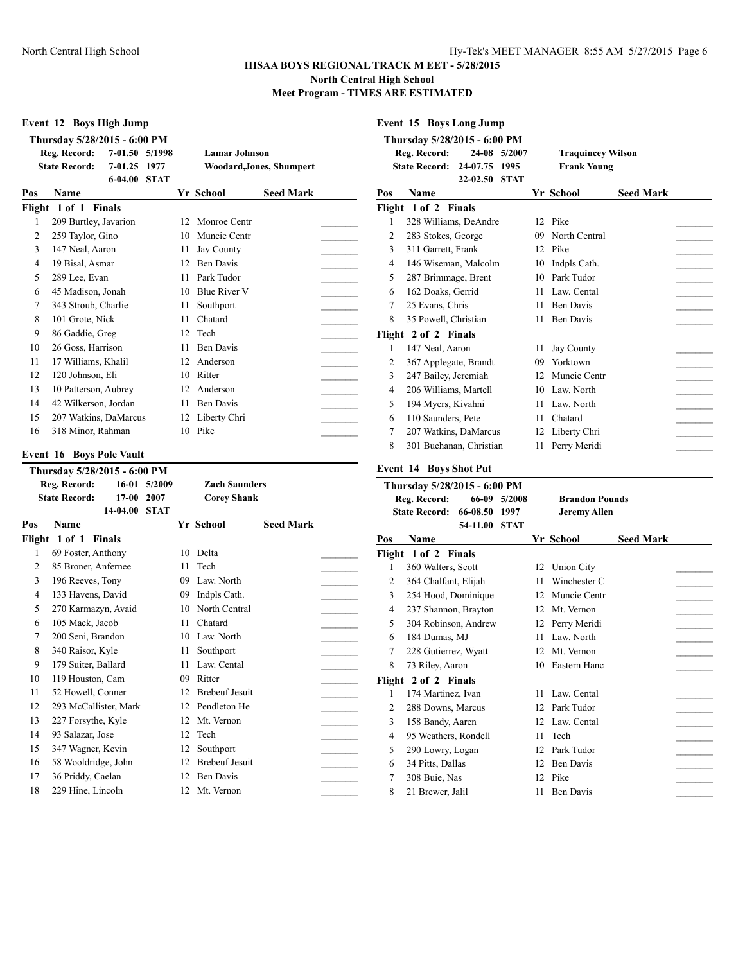**Event 12 Boys High Jump Thursday 5/28/2015 - 6:00 PM Reg. Record: 7-01.50 5/1998 Lamar Johnson State Record: 7-01.25 1977 Woodard,Jones, Shumpert 6-04.00 STAT Pos Name Yr School Seed Mark Flight 1 of 1 Finals** 1 209 Burtley, Javarion 12 Monroe Centr 2 259 Taylor, Gino 10 Muncie Centr 3 147 Neal, Aaron 11 Jay County 4 19 Bisal, Asmar 12 Ben Davis 5 289 Lee, Evan 11 Park Tudor 6 45 Madison, Jonah 10 Blue River V 7 343 Stroub, Charlie 11 Southport 8 101 Grote, Nick 11 Chatard 9 86 Gaddie, Greg 12 Tech 10 26 Goss, Harrison 11 Ben Davis 11 17 Williams, Khalil 12 Anderson 12 120 Johnson, Eli 10 Ritter 13 10 Patterson, Aubrey 12 Anderson 14 42 Wilkerson, Jordan 11 Ben Davis 15 207 Watkins, DaMarcus 12 Liberty Chri 16 318 Minor, Rahman 10 Pike **Event 16 Boys Pole Vault Thursday 5/28/2015 - 6:00 PM Reg. Record: 16-01 5/2009 Zach Saunders State Record: 17-00 2007 Corey Shank 14-04.00 STAT Pos Name Yr School Seed Mark Flight 1 of 1 Finals** 1 69 Foster, Anthony 10 Delta 2 85 Broner, Anfernee 11 Tech 3 196 Reeves, Tony 09 Law. North 4 133 Havens, David 09 Indpls Cath. 5 270 Karmazyn, Avaid 10 North Central 6 105 Mack, Jacob 11 Chatard \_\_\_\_\_\_\_\_\_ 7 200 Seni, Brandon 10 Law. North 8 340 Raisor, Kyle 11 Southport 9 179 Suiter, Ballard 11 Law. Cental 10 119 Houston, Cam 09 Ritter 11 52 Howell, Conner 12, Brebeuf Jesuit 12 293 McCallister, Mark 12 Pendleton He 13 227 Forsythe, Kyle 12 Mt. Vernon 14 93 Salazar, Jose 12 Tech 15 347 Wagner, Kevin 12 Southport 16 58 Wooldridge, John 12 Brebeuf Jesuit 17 36 Priddy, Caelan 12 Ben Davis 18 229 Hine, Lincoln 12 Mt. Vernon

**Event 15 Boys Long Jump Thursday 5/28/2015 - 6:00 PM Reg. Record: 24-08 5/2007 Traquincey Wilson State Record: 24-07.75 1995 Frank Young 22-02.50 STAT Pos Name Yr School Seed Mark Flight 1 of 2 Finals** 1 328 Williams, DeAndre 12 Pike 2 283 Stokes, George 09 North Central 3 311 Garrett, Frank 12 Pike 4 146 Wiseman, Malcolm 10 Indpls Cath. 5 287 Brimmage, Brent 10 Park Tudor 6 162 Doaks, Gerrid 11 Law. Cental \_\_\_\_\_\_\_\_\_ 7 25 Evans, Chris 11 Ben Davis 8 35 Powell, Christian 11 Ben Davis **Flight 2 of 2 Finals** 1 147 Neal, Aaron 11 Jay County 2 367 Applegate, Brandt 09 Yorktown 3 247 Bailey, Jeremiah 12 Muncie Centr 4 206 Williams, Martell 10 Law. North 5 194 Myers, Kivahni 11 Law. North 6 110 Saunders, Pete 11 Chatard \_\_\_\_\_\_\_\_\_ 7 207 Watkins, DaMarcus 12 Liberty Chri 8 301 Buchanan, Christian 11 Perry Meridi **Event 14 Boys Shot Put Thursday 5/28/2015 - 6:00 PM Reg. Record: 66-09 5/2008 Brandon Pounds State Record: 66-08.50 1997 Jeremy Allen 54-11.00 STAT Pos Name Yr School Seed Mark Flight 1 of 2 Finals** 1 360 Walters, Scott 12 Union City 2 364 Chalfant, Elijah 11 Winchester C 3 254 Hood, Dominique 12 Muncie Centr 4 237 Shannon, Brayton 12 Mt. Vernon 5 304 Robinson, Andrew 12 Perry Meridi 6 184 Dumas, MJ 11 Law. North 7 228 Gutierrez, Wyatt 12 Mt. Vernon 8 73 Riley, Aaron 10 Eastern Hanc **Flight 2 of 2 Finals** 1 174 Martinez, Ivan 11 Law. Cental 2 288 Downs, Marcus 12 Park Tudor 3 158 Bandy, Aaren 12 Law. Cental 4 95 Weathers, Rondell 11 Tech 5 290 Lowry, Logan 12 Park Tudor 6 34 Pitts, Dallas 12 Ben Davis \_\_\_\_\_\_\_\_\_

7 308 Buie, Nas 12 Pike 8 21 Brewer, Jalil 11 Ben Davis